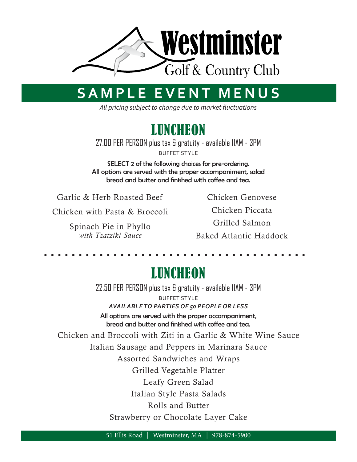

## **SAMPLE EVENT MENUS**

*All pricing subject to change due to market fluctuations*



27.00 PER PERSON plus tax & gratuity - available 11AM - 3PM BUFFET STYLE

SELECT 2 of the following choices for pre-ordering. All options are served with the proper accompaniment, salad bread and butter and finished with coffee and tea.

Garlic & Herb Roasted Beef

Chicken with Pasta & Broccoli

Spinach Pie in Phyllo *with Tzatziki Sauce*

Chicken Genovese

Chicken Piccata

Grilled Salmon

Baked Atlantic Haddock

### LUNCHEON

22.50 PER PERSON plus tax & gratuity - available 11AM - 3PM BUFFET STYLE *AVAILABLE TO PARTIES OF 50 PEOPLE OR LESS*

All options are served with the proper accompaniment, bread and butter and finished with coffee and tea.

Chicken and Broccoli with Ziti in a Garlic & White Wine Sauce Italian Sausage and Peppers in Marinara Sauce Assorted Sandwiches and Wraps Grilled Vegetable Platter Leafy Green Salad Italian Style Pasta Salads Rolls and Butter Strawberry or Chocolate Layer Cake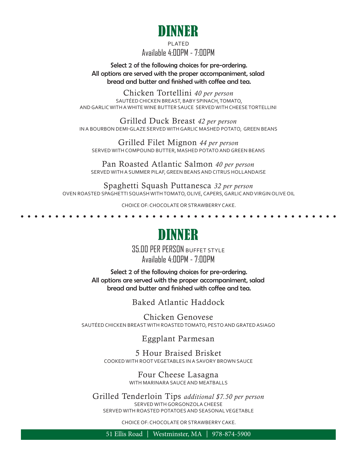

#### PLATED Available 4:00PM - 7:00PM

Select 2 of the following choices for pre-ordering. All options are served with the proper accompaniment, salad bread and butter and finished with coffee and tea.

Chicken Tortellini *40 per person* SAUTÉED CHICKEN BREAST, BABY SPINACH, TOMATO, AND GARLIC WITH A WHITE WINE BUTTER SAUCE SERVED WITH CHEESE TORTELLINI

Grilled Duck Breast *42 per person* IN A BOURBON DEMI-GLAZE SERVED WITH GARLIC MASHED POTATO, GREEN BEANS

Grilled Filet Mignon *44 per person* SERVED WITH COMPOUND BUTTER, MASHED POTATO AND GREEN BEANS

Pan Roasted Atlantic Salmon *40 per person* SERVED WITH A SUMMER PILAF, GREEN BEANS AND CITRUS HOLLANDAISE

Spaghetti Squash Puttanesca *32 per person* OVEN ROASTED SPAGHETTI SQUASH WITH TOMATO, OLIVE, CAPERS, GARLIC AND VIRGIN OLIVE OIL

CHOICE OF: CHOCOLATE OR STRAWBERRY CAKE.

. . . . . . . . .

## DINNER

35.00 PER PERSON BUFFET STYLE Available 4:00PM - 7:00PM

Select 2 of the following choices for pre-ordering. All options are served with the proper accompaniment, salad bread and butter and finished with coffee and tea.

Baked Atlantic Haddock

Chicken Genovese SAUTÉED CHICKEN BREAST WITH ROASTED TOMATO, PESTO AND GRATED ASIAGO

Eggplant Parmesan

5 Hour Braised Brisket COOKED WITH ROOT VEGETABLES IN A SAVORY BROWN SAUCE

> Four Cheese Lasagna WITH MARINARA SAUCE AND MEATBALLS

Grilled Tenderloin Tips *additional \$7.50 per person* SERVED WITH GORGONZOLA CHEESE SERVED WITH ROASTED POTATOES AND SEASONAL VEGETABLE

CHOICE OF: CHOCOLATE OR STRAWBERRY CAKE.

51 Ellis Road | Westminster, MA | 978-874-5900